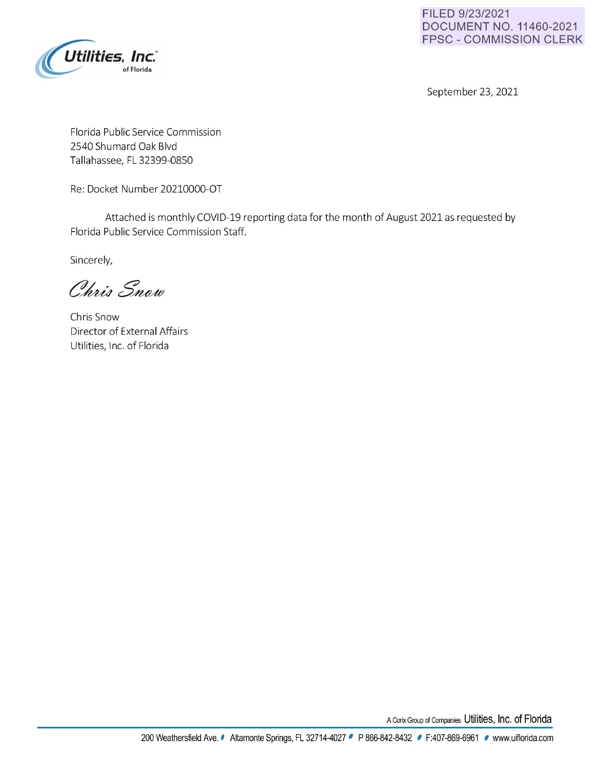

**FILED 9/23/2021 DOCUMENT NO. 11460-2021 FPSC** - **COMMISSION CLERK** 

September 23, 2021

Florida Public Service Commission 2540 Shumard Oak Blvd Tallahassee, FL 32399-0850

Re: Docket Number 20210000-OT

Attached is monthly COVID-19 reporting data for the month of August 2021 as requested by Florida Public Service Commission Staff.

Sincerely,

Chris Snow

Chris Snow Director of External Affairs Utilities, Inc. of Florida

A Corix Group of Companies Utilities, Inc. of Florida